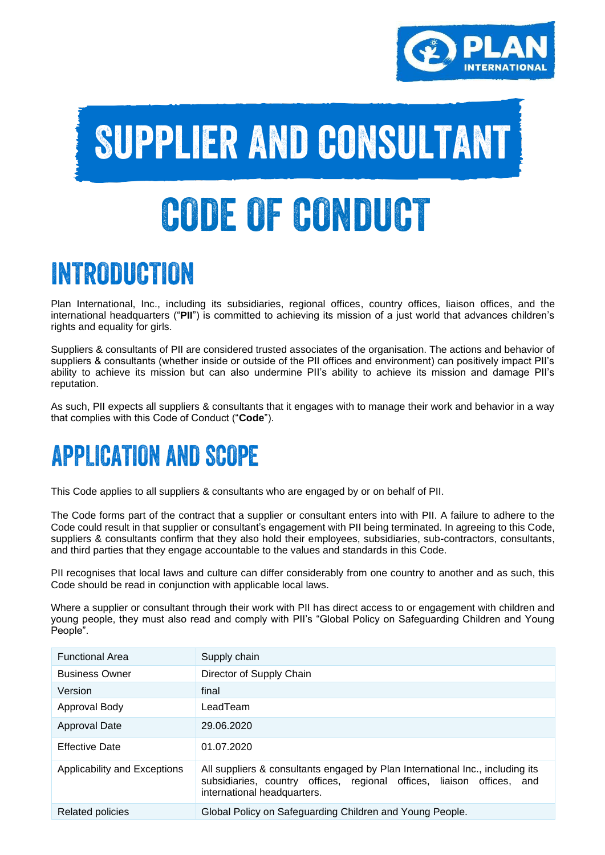

# Supplier and consultant CODE OF CONDUCT

### INTRODUCTION

Plan International, Inc., including its subsidiaries, regional offices, country offices, liaison offices, and the international headquarters ("**PII**") is committed to achieving its mission of a just world that advances children's rights and equality for girls.

Suppliers & consultants of PII are considered trusted associates of the organisation. The actions and behavior of suppliers & consultants (whether inside or outside of the PII offices and environment) can positively impact PII's ability to achieve its mission but can also undermine PII's ability to achieve its mission and damage PII's reputation.

As such, PII expects all suppliers & consultants that it engages with to manage their work and behavior in a way that complies with this Code of Conduct ("**Code**").

### **APPLICATION AND SCOPE**

This Code applies to all suppliers & consultants who are engaged by or on behalf of PII.

The Code forms part of the contract that a supplier or consultant enters into with PII. A failure to adhere to the Code could result in that supplier or consultant's engagement with PII being terminated. In agreeing to this Code, suppliers & consultants confirm that they also hold their employees, subsidiaries, sub-contractors, consultants, and third parties that they engage accountable to the values and standards in this Code.

PII recognises that local laws and culture can differ considerably from one country to another and as such, this Code should be read in conjunction with applicable local laws.

Where a supplier or consultant through their work with PII has direct access to or engagement with children and young people, they must also read and comply with PII's "Global Policy on Safeguarding Children and Young People".

| <b>Functional Area</b>       | Supply chain                                                                                                                                                                          |  |  |
|------------------------------|---------------------------------------------------------------------------------------------------------------------------------------------------------------------------------------|--|--|
| <b>Business Owner</b>        | Director of Supply Chain                                                                                                                                                              |  |  |
| Version                      | final                                                                                                                                                                                 |  |  |
| Approval Body                | LeadTeam                                                                                                                                                                              |  |  |
| Approval Date                | 29.06.2020                                                                                                                                                                            |  |  |
| <b>Effective Date</b>        | 01.07.2020                                                                                                                                                                            |  |  |
| Applicability and Exceptions | All suppliers & consultants engaged by Plan International Inc., including its<br>subsidiaries, country offices, regional offices, liaison offices, and<br>international headquarters. |  |  |
| Related policies             | Global Policy on Safeguarding Children and Young People.                                                                                                                              |  |  |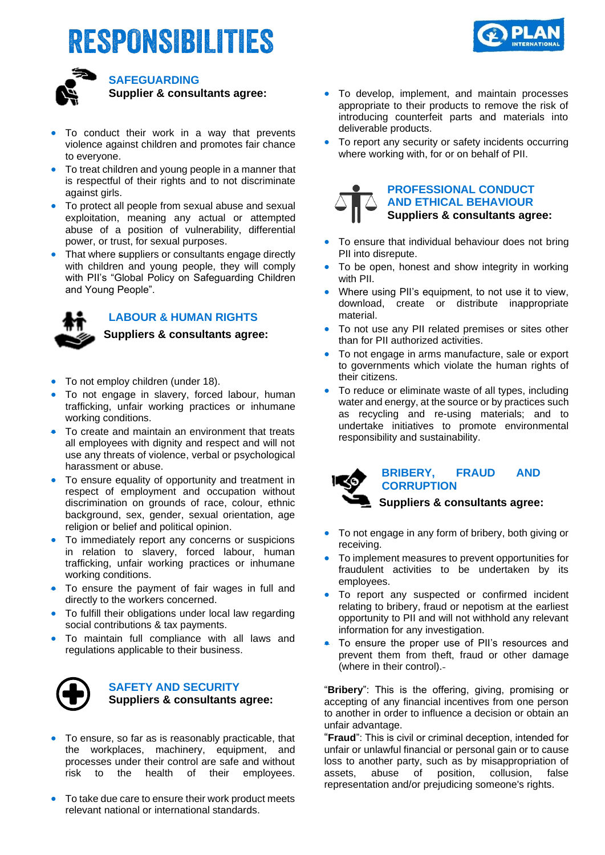## RESPONSIBILITIES





### **SAFEGUARDING Supplier & consultants agree:**

- To conduct their work in a way that prevents violence against children and promotes fair chance to everyone.
- To treat children and young people in a manner that is respectful of their rights and to not discriminate against girls.
- To protect all people from sexual abuse and sexual exploitation, meaning any actual or attempted abuse of a position of vulnerability, differential power, or trust, for sexual purposes.
- That where suppliers or consultants engage directly with children and young people, they will comply with PII's "Global Policy on Safeguarding Children and Young People".



### **LABOUR & HUMAN RIGHTS**

**Suppliers & consultants agree:** 

- To not employ children (under 18).
- To not engage in slavery, forced labour, human trafficking, unfair working practices or inhumane working conditions.
- To create and maintain an environment that treats all employees with dignity and respect and will not use any threats of violence, verbal or psychological harassment or abuse.
- To ensure equality of opportunity and treatment in respect of employment and occupation without discrimination on grounds of race, colour, ethnic background, sex, gender, sexual orientation, age religion or belief and political opinion.
- To immediately report any concerns or suspicions in relation to slavery, forced labour, human trafficking, unfair working practices or inhumane working conditions.
- To ensure the payment of fair wages in full and directly to the workers concerned.
- To fulfill their obligations under local law regarding social contributions & tax payments.
- To maintain full compliance with all laws and regulations applicable to their business.



#### **SAFETY AND SECURITY Suppliers & consultants agree:**

- To ensure, so far as is reasonably practicable, that the workplaces, machinery, equipment, and processes under their control are safe and without risk to the health of their employees.
- To take due care to ensure their work product meets relevant national or international standards.
- To develop, implement, and maintain processes appropriate to their products to remove the risk of introducing counterfeit parts and materials into deliverable products.
- To report any security or safety incidents occurring where working with, for or on behalf of PII.

# **PROFESSIONAL CONDUCT**

### **AND ETHICAL BEHAVIOUR Suppliers & consultants agree:**

- To ensure that individual behaviour does not bring PII into disrepute.
- To be open, honest and show integrity in working with PII.
- Where using PII's equipment, to not use it to view, download, create or distribute inappropriate material.
- To not use any PII related premises or sites other than for PII authorized activities.
- To not engage in arms manufacture, sale or export to governments which violate the human rights of their citizens.
- To reduce or eliminate waste of all types, including water and energy, at the source or by practices such as recycling and re-using materials; and to undertake initiatives to promote environmental responsibility and sustainability.

| <b>IKO</b> | <b>BRIBERY,</b>                | <b>FRAUD</b> | <b>AND</b> |  |
|------------|--------------------------------|--------------|------------|--|
|            | <b>CORRUPTION</b>              |              |            |  |
|            | Suppliers & consultants agree: |              |            |  |

- To not engage in any form of bribery, both giving or receiving.
- To implement measures to prevent opportunities for fraudulent activities to be undertaken by its employees.
- To report any suspected or confirmed incident relating to bribery, fraud or nepotism at the earliest opportunity to PII and will not withhold any relevant information for any investigation.
- To ensure the proper use of PII's resources and prevent them from theft, fraud or other damage (where in their control).

"**Bribery**": This is the offering, giving, promising or accepting of any financial incentives from one person to another in order to influence a decision or obtain an unfair advantage.

"**Fraud**": This is civil or criminal deception, intended for unfair or unlawful financial or personal gain or to cause loss to another party, such as by misappropriation of assets, abuse of position, collusion, false assets, abuse of position, collusion, false representation and/or prejudicing someone's rights.